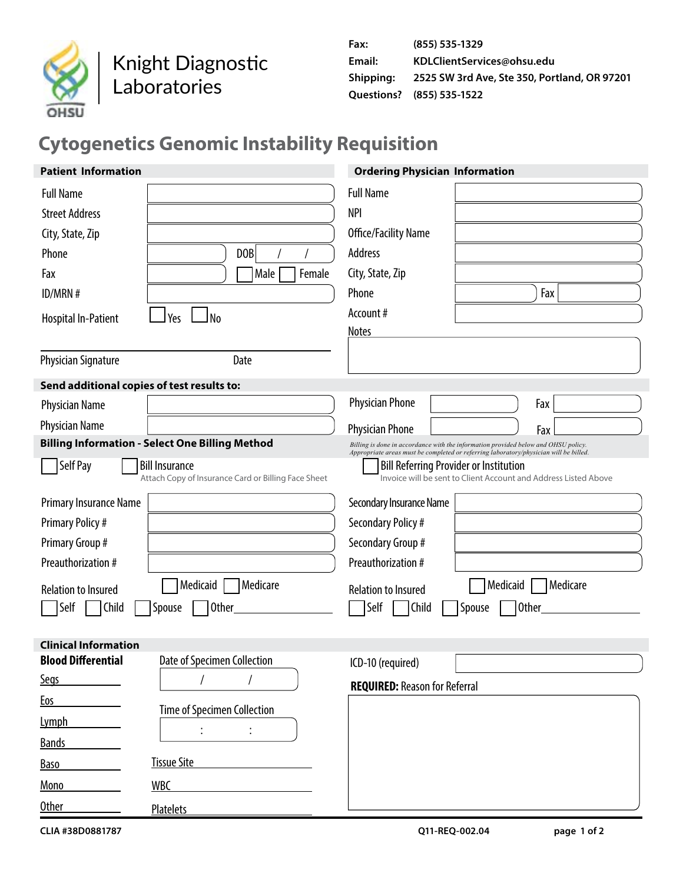

Knight Diagnostic Laboratories

# **Cytogenetics Genomic Instability Requisition**

| <b>Patient Information</b>                             |                                                                              | <b>Ordering Physician Information</b>                                                                                                                                       |
|--------------------------------------------------------|------------------------------------------------------------------------------|-----------------------------------------------------------------------------------------------------------------------------------------------------------------------------|
| <b>Full Name</b>                                       |                                                                              | <b>Full Name</b>                                                                                                                                                            |
| <b>Street Address</b>                                  |                                                                              | <b>NPI</b>                                                                                                                                                                  |
| City, State, Zip                                       |                                                                              | Office/Facility Name                                                                                                                                                        |
| Phone                                                  | D <sub>OB</sub>                                                              | Address                                                                                                                                                                     |
| Fax                                                    | Female<br>Male                                                               | City, State, Zip                                                                                                                                                            |
| ID/MRN#                                                |                                                                              | Phone<br>Fax                                                                                                                                                                |
| <b>Hospital In-Patient</b>                             | J No<br>Yes                                                                  | Account#                                                                                                                                                                    |
|                                                        |                                                                              | <b>Notes</b>                                                                                                                                                                |
| <b>Physician Signature</b>                             | Date                                                                         |                                                                                                                                                                             |
| Send additional copies of test results to:             |                                                                              |                                                                                                                                                                             |
| <b>Physician Name</b>                                  |                                                                              | <b>Physician Phone</b><br>Fax                                                                                                                                               |
| <b>Physician Name</b>                                  |                                                                              | <b>Physician Phone</b><br>Fax                                                                                                                                               |
| <b>Billing Information - Select One Billing Method</b> |                                                                              | Billing is done in accordance with the information provided below and OHSU policy.<br>Appropriate areas must be completed or referring laboratory/physician will be billed. |
| Self Pay                                               | <b>Bill Insurance</b><br>Attach Copy of Insurance Card or Billing Face Sheet | <b>Bill Referring Provider or Institution</b><br>Invoice will be sent to Client Account and Address Listed Above                                                            |
| Primary Insurance Name                                 |                                                                              | Secondary Insurance Name                                                                                                                                                    |
| <b>Primary Policy#</b>                                 |                                                                              | Secondary Policy #                                                                                                                                                          |
| Primary Group #                                        |                                                                              | Secondary Group #                                                                                                                                                           |
| Preauthorization #                                     |                                                                              | Preauthorization #                                                                                                                                                          |
| <b>Relation to Insured</b>                             | Medicaid<br>Medicare                                                         | Medicaid<br>Medicare<br><b>Relation to Insured</b>                                                                                                                          |
| Self<br>Child                                          | <b>Other</b><br>Spouse                                                       | Self<br>Child<br>Other<br>Spouse                                                                                                                                            |
|                                                        |                                                                              |                                                                                                                                                                             |
| <b>Clinical Information</b>                            |                                                                              |                                                                                                                                                                             |
| <b>Blood Differential</b>                              | Date of Specimen Collection                                                  | ICD-10 (required)                                                                                                                                                           |
| <b>Segs</b>                                            | $\prime$                                                                     | <b>REQUIRED: Reason for Referral</b>                                                                                                                                        |
| <b>Eos</b>                                             | Time of Specimen Collection                                                  |                                                                                                                                                                             |
| <b>Lymph</b>                                           |                                                                              |                                                                                                                                                                             |
| <b>Bands</b>                                           |                                                                              |                                                                                                                                                                             |
| <b>Baso</b>                                            | <b>Tissue Site</b>                                                           |                                                                                                                                                                             |
| Mono                                                   | <b>WBC</b>                                                                   |                                                                                                                                                                             |
| Other                                                  | <b>Platelets</b>                                                             |                                                                                                                                                                             |